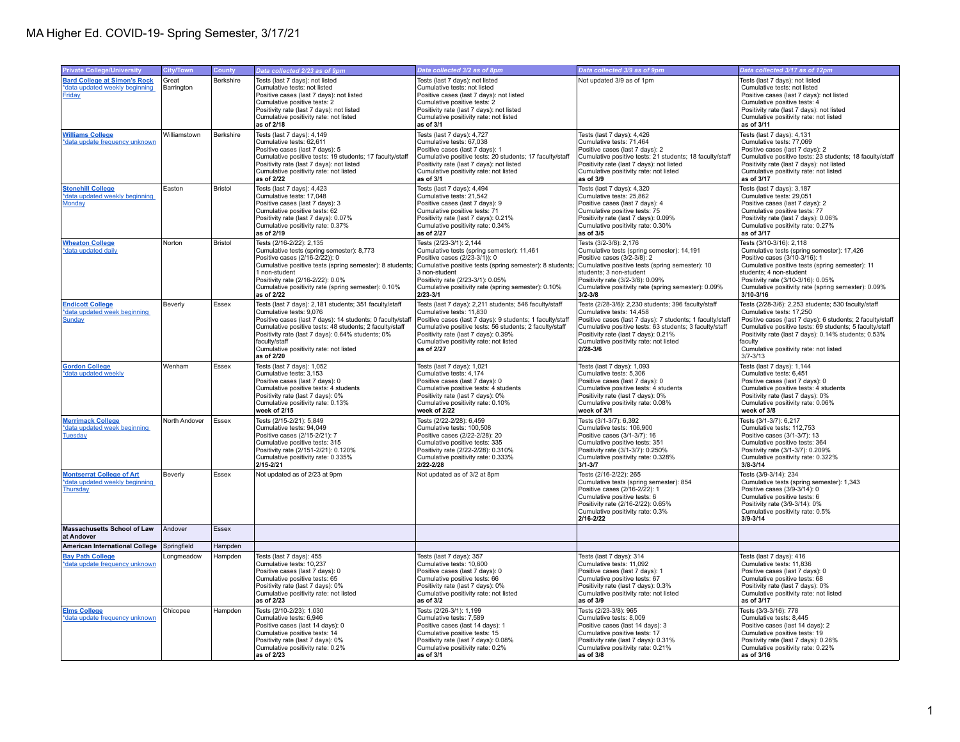| <b>Private College/University</b>                                  | <b>City/Town</b> | County         | Data collected 2/23 as of 9pm                                                                                        | Data collected 3/2 as of 8pm                                                                                         | Data collected 3/9 as of 9pm                                                                                         | Data collected 3/17 as of 12pm                                                                                       |
|--------------------------------------------------------------------|------------------|----------------|----------------------------------------------------------------------------------------------------------------------|----------------------------------------------------------------------------------------------------------------------|----------------------------------------------------------------------------------------------------------------------|----------------------------------------------------------------------------------------------------------------------|
| <b>Bard College at Simon's Rock</b>                                | Great            | Berkshire      | Tests (last 7 days): not listed                                                                                      | Tests (last 7 days): not listed                                                                                      | Not updated 3/9 as of 1pm                                                                                            | Tests (last 7 days): not listed                                                                                      |
| *data updated weekly beginning                                     | Barrington       |                | Cumulative tests: not listed                                                                                         | Cumulative tests: not listed                                                                                         |                                                                                                                      | Cumulative tests: not listed                                                                                         |
| <b>Friday</b>                                                      |                  |                | Positive cases (last 7 days): not listed<br>Cumulative positive tests: 2                                             | Positive cases (last 7 days): not listed<br>Cumulative positive tests: 2                                             |                                                                                                                      | Positive cases (last 7 days): not listed<br>Cumulative positive tests: 4                                             |
|                                                                    |                  |                | Positivity rate (last 7 days): not listed                                                                            | Positivity rate (last 7 days): not listed                                                                            |                                                                                                                      | Positivity rate (last 7 days): not listed                                                                            |
|                                                                    |                  |                | Cumulative positivity rate: not listed<br>as of 2/18                                                                 | Cumulative positivity rate: not listed<br>as of 3/1                                                                  |                                                                                                                      | Cumulative positivity rate: not listed<br>as of 3/11                                                                 |
| <b>Williams College</b>                                            | Williamstown     | Berkshire      | Tests (last 7 days): 4,149                                                                                           | Tests (last 7 days): 4,727                                                                                           | Tests (last 7 days): 4,426                                                                                           | Tests (last 7 days): 4,131                                                                                           |
| *data update frequency unknown                                     |                  |                | Cumulative tests: 62,611<br>Positive cases (last 7 days): 5                                                          | Cumulative tests: 67,038<br>Positive cases (last 7 days): 1                                                          | Cumulative tests: 71,464<br>Positive cases (last 7 days): 2                                                          | Cumulative tests: 77,069<br>Positive cases (last 7 days): 2                                                          |
|                                                                    |                  |                | Cumulative positive tests: 19 students; 17 faculty/staff                                                             | Cumulative positive tests: 20 students; 17 faculty/staff                                                             | Cumulative positive tests: 21 students; 18 faculty/staff                                                             | Cumulative positive tests: 23 students; 18 faculty/staff                                                             |
|                                                                    |                  |                | Positivity rate (last 7 days): not listed<br>Cumulative positivity rate: not listed                                  | Positivity rate (last 7 days): not listed<br>Cumulative positivity rate: not listed                                  | Positivity rate (last 7 days): not listed<br>Cumulative positivity rate: not listed                                  | Positivity rate (last 7 days): not listed<br>Cumulative positivity rate: not listed                                  |
|                                                                    |                  |                | as of 2/22                                                                                                           | as of 3/1                                                                                                            | as of 3/9                                                                                                            | as of 3/17                                                                                                           |
| <b>Stonehill College</b>                                           | Easton           | <b>Bristol</b> | Tests (last 7 days): 4,423                                                                                           | Tests (last 7 days): 4,494                                                                                           | Tests (last 7 days): 4,320                                                                                           | Tests (last 7 days): 3,187                                                                                           |
| *data updated weekly beginning<br>Monday                           |                  |                | Cumulative tests: 17,048<br>Positive cases (last 7 days): 3                                                          | Cumulative tests: 21,542<br>Positive cases (last 7 days): 9                                                          | Cumulative tests: 25,862<br>Positive cases (last 7 days): 4                                                          | Cumulative tests: 29,051<br>Positive cases (last 7 days): 2                                                          |
|                                                                    |                  |                | Cumulative positive tests: 62                                                                                        | Cumulative positive tests: 71                                                                                        | Cumulative positive tests: 75                                                                                        | Cumulative positive tests: 77                                                                                        |
|                                                                    |                  |                | Positivity rate (last 7 days): 0.07%<br>Cumulative positivity rate: 0.37%                                            | Positivity rate (last 7 days): 0.21%<br>Cumulative positivity rate: 0.34%                                            | Positivity rate (last 7 days): 0.09%<br>Cumulative positivity rate: 0.30%                                            | Positivity rate (last 7 days): 0.06%<br>Cumulative positivity rate: 0.27%                                            |
|                                                                    |                  |                | as of 2/19                                                                                                           | as of 2/27                                                                                                           | as of 3/5                                                                                                            | as of 3/17                                                                                                           |
| <b>Wheaton College</b><br>*data updated daily                      | Norton           | Bristol        | Tests (2/16-2/22): 2,135<br>Cumulative tests (spring semester): 8,773                                                | Tests (2/23-3/1): 2,144<br>Cumulative tests (spring semester): 11,461                                                | Tests (3/2-3/8): 2,176<br>Cumulative tests (spring semester): 14,191                                                 | Tests (3/10-3/16): 2,118<br>Cumulative tests (spring semester): 17,426                                               |
|                                                                    |                  |                | Positive cases (2/16-2/22)): 0                                                                                       | Positive cases (2/23-3/1)): 0                                                                                        | Positive cases (3/2-3/8): 2                                                                                          | Positive cases (3/10-3/16): 1                                                                                        |
|                                                                    |                  |                | Cumulative positive tests (spring semester): 8 students;<br>1 non-student                                            | Cumulative positive tests (spring semester): 8 students;<br>3 non-student                                            | Cumulative positive tests (spring semester): 10<br>students; 3 non-student                                           | Cumulative positive tests (spring semester): 11<br>students; 4 non-student                                           |
|                                                                    |                  |                | Positivity rate (2/16-2/22): 0.0%                                                                                    | Positivity rate (2/23-3/1): 0.05%                                                                                    | Positivity rate (3/2-3/8): 0.09%                                                                                     | Positivity rate (3/10-3/16): 0.05%                                                                                   |
|                                                                    |                  |                | Cumulative positivity rate (spring semester): 0.10%                                                                  | Cumulative positivity rate (spring semester): 0.10%                                                                  | Cumulative positivity rate (spring semester): 0.09%                                                                  | Cumulative positivity rate (spring semester): 0.09%<br>3/10-3/16                                                     |
| <b>Endicott College</b>                                            | Beverly          | Essex          | as of 2/22<br>Tests (last 7 days): 2,181 students; 351 faculty/staff                                                 | $2/23 - 3/1$<br>Tests (last 7 days): 2,211 students; 546 faculty/staff                                               | $3/2 - 3/8$<br>Tests (2/28-3/6): 2,230 students; 396 faculty/staff                                                   | Tests (2/28-3/6): 2,253 students; 530 faculty/staff                                                                  |
| *data updated week beginning                                       |                  |                | Cumulative tests: 9.076                                                                                              | Cumulative tests: 11.830                                                                                             | Cumulative tests: 14.458                                                                                             | Cumulative tests: 17,250                                                                                             |
| Sunday                                                             |                  |                | Positive cases (last 7 days): 14 students; 0 faculty/staf<br>Cumulative positive tests: 48 students; 2 faculty/staff | Positive cases (last 7 days): 9 students; 1 faculty/staff<br>Cumulative positive tests: 56 students; 2 faculty/staff | Positive cases (last 7 days): 7 students; 1 faculty/staff<br>Cumulative positive tests: 63 students; 3 faculty/staff | Positive cases (last 7 days): 6 students; 2 faculty/staff<br>Cumulative positive tests: 69 students; 5 faculty/staff |
|                                                                    |                  |                | Positivity rate (last 7 days): 0.64% students; 0%                                                                    | Positivity rate (last 7 days): 0.39%                                                                                 | Positivity rate (last 7 days): 0.21%                                                                                 | Positivity rate (last 7 days): 0.14% students; 0.53%                                                                 |
|                                                                    |                  |                | faculty/staff<br>Cumulative positivity rate: not listed                                                              | Cumulative positivity rate: not listed<br>as of 2/27                                                                 | Cumulative positivity rate: not listed<br>2/28-3/6                                                                   | faculty<br>Cumulative positivity rate: not listed                                                                    |
|                                                                    |                  |                | as of 2/20                                                                                                           |                                                                                                                      |                                                                                                                      | $3/7 - 3/13$                                                                                                         |
| <b>Gordon College</b>                                              | Wenham           | Essex          | Tests (last 7 days): 1,052                                                                                           | Tests (last 7 days): 1,021                                                                                           | Tests (last 7 days): 1,093                                                                                           | Tests (last 7 days): 1,144                                                                                           |
| *data updated weekly                                               |                  |                | Cumulative tests: 3,153<br>Positive cases (last 7 days): 0                                                           | Cumulative tests: 4,174<br>Positive cases (last 7 days): 0                                                           | Cumulative tests: 5,306<br>Positive cases (last 7 days): 0                                                           | Cumulative tests: 6,451<br>Positive cases (last 7 days): 0                                                           |
|                                                                    |                  |                | Cumulative positive tests: 4 students                                                                                | Cumulative positive tests: 4 students                                                                                | Cumulative positive tests: 4 students                                                                                | Cumulative positive tests: 4 students                                                                                |
|                                                                    |                  |                | Positivity rate (last 7 days): 0%<br>Cumulative positivity rate: 0.13%                                               | Positivity rate (last 7 days): 0%<br>Cumulative positivity rate: 0.10%                                               | Positivity rate (last 7 days): 0%<br>Cumulative positivity rate: 0.08%                                               | Positivity rate (last 7 days): 0%<br>Cumulative positivity rate: 0.06%                                               |
|                                                                    |                  |                | week of 2/15                                                                                                         | week of 2/22                                                                                                         | week of 3/1                                                                                                          | week of 3/8                                                                                                          |
| <b>Merrimack College</b><br>*data updated week beginning           | North Andover    | Essex          | Tests (2/15-2/21): 5,849<br>Cumulative tests: 94.049                                                                 | Tests (2/22-2/28): 6,459<br>Cumulative tests: 100,508                                                                | Tests (3/1-3/7): 6,392<br>Cumulative tests: 106,900                                                                  | Tests (3/1-3/7): 6,217<br>Cumulative tests: 112.753                                                                  |
| <b>Tuesday</b>                                                     |                  |                | Positive cases (2/15-2/21): 7                                                                                        | Positive cases (2/22-2/28): 20                                                                                       | Positive cases (3/1-3/7): 16                                                                                         | Positive cases (3/1-3/7): 13                                                                                         |
|                                                                    |                  |                | Cumulative positive tests: 315<br>Positivity rate (2/151-2/21): 0.120%                                               | Cumulative positive tests: 335<br>Positivity rate (2/22-2/28): 0.310%                                                | Cumulative positive tests: 351<br>Positivity rate (3/1-3/7): 0.250%                                                  | Cumulative positive tests: 364<br>Positivity rate (3/1-3/7): 0.209%                                                  |
|                                                                    |                  |                | Cumulative positivity rate: 0.335%                                                                                   | Cumulative positivity rate: 0.333%                                                                                   | Cumulative positivity rate: 0.328%                                                                                   | Cumulative positivity rate: 0.322%                                                                                   |
|                                                                    |                  |                | $2/15 - 2/21$                                                                                                        | 2/22-2/28                                                                                                            | 3/1-3/7                                                                                                              | $3/8 - 3/14$                                                                                                         |
| <b>Montserrat College of Art</b><br>*data updated weekly beginning | Beverly          | Essex          | Not updated as of 2/23 at 9pm                                                                                        | Not updated as of 3/2 at 8pm                                                                                         | Tests (2/16-2/22): 265<br>Cumulative tests (spring semester): 854                                                    | Tests (3/9-3/14): 234<br>Cumulative tests (spring semester): 1,343                                                   |
| Thursday                                                           |                  |                |                                                                                                                      |                                                                                                                      | Positive cases (2/16-2/22): 1                                                                                        | Positive cases (3/9-3/14): 0                                                                                         |
|                                                                    |                  |                |                                                                                                                      |                                                                                                                      | Cumulative positive tests: 6<br>Positivity rate (2/16-2/22): 0.65%                                                   | Cumulative positive tests: 6<br>Positivity rate (3/9-3/14): 0%                                                       |
|                                                                    |                  |                |                                                                                                                      |                                                                                                                      | Cumulative positivity rate: 0.3%                                                                                     | Cumulative positivity rate: 0.5%                                                                                     |
| <b>Massachusetts School of Law</b>                                 | Andover          | Essex          |                                                                                                                      |                                                                                                                      | 2/16-2/22                                                                                                            | $3/9 - 3/14$                                                                                                         |
| at Andover                                                         |                  |                |                                                                                                                      |                                                                                                                      |                                                                                                                      |                                                                                                                      |
| American International College Springfield                         |                  | Hampden        |                                                                                                                      |                                                                                                                      |                                                                                                                      |                                                                                                                      |
| <b>Bay Path College</b><br>*data update frequency unknown          | ongmeadow        | Hampden        | Tests (last 7 days): 455<br>Cumulative tests: 10,237                                                                 | Tests (last 7 days): 357<br>Cumulative tests: 10,600                                                                 | Tests (last 7 days): 314<br>Cumulative tests: 11,092                                                                 | Tests (last 7 days): 416<br>Cumulative tests: 11,836                                                                 |
|                                                                    |                  |                | Positive cases (last 7 days): 0                                                                                      | Positive cases (last 7 days): 0                                                                                      | Positive cases (last 7 days): 1                                                                                      | Positive cases (last 7 days): 0                                                                                      |
|                                                                    |                  |                | Cumulative positive tests: 65<br>Positivity rate (last 7 days): 0%                                                   | Cumulative positive tests: 66<br>Positivity rate (last 7 days): 0%                                                   | Cumulative positive tests: 67<br>Positivity rate (last 7 days): 0.3%                                                 | Cumulative positive tests: 68<br>Positivity rate (last 7 days): 0%                                                   |
|                                                                    |                  |                | Cumulative positivity rate: not listed                                                                               | Cumulative positivity rate: not listed                                                                               | Cumulative positivity rate: not listed                                                                               | Cumulative positivity rate: not listed                                                                               |
|                                                                    |                  |                | as of 2/23                                                                                                           | as of 3/2                                                                                                            | as of 3/9                                                                                                            | as of 3/17                                                                                                           |
| <b>Elms College</b><br>*data update frequency unknown              | Chicopee         | Hampden        | Tests (2/10-2/23): 1.030<br>Cumulative tests: 6,946                                                                  | Tests (2/26-3/1): 1.199<br>Cumulative tests: 7,589                                                                   | Tests (2/23-3/8): 965<br>Cumulative tests: 8,009                                                                     | Tests (3/3-3/16): 778<br>Cumulative tests: 8,445                                                                     |
|                                                                    |                  |                | Positive cases (last 14 days): 0                                                                                     | Positive cases (last 14 days): 1                                                                                     | Positive cases (last 14 days): 3                                                                                     | Positive cases (last 14 days): 2                                                                                     |
|                                                                    |                  |                | Cumulative positive tests: 14<br>Positivity rate (last 7 days): 0%                                                   | Cumulative positive tests: 15<br>Positivity rate (last 7 days): 0.08%                                                | Cumulative positive tests: 17<br>Positivity rate (last 7 days): 0.31%                                                | Cumulative positive tests: 19<br>Positivity rate (last 7 days): 0.26%                                                |
|                                                                    |                  |                | Cumulative positivity rate: 0.2%                                                                                     | Cumulative positivity rate: 0.2%                                                                                     | Cumulative positivity rate: 0.21%                                                                                    | Cumulative positivity rate: 0.22%                                                                                    |
|                                                                    |                  |                | as of 2/23                                                                                                           | as of 3/1                                                                                                            | as of 3/8                                                                                                            | as of 3/16                                                                                                           |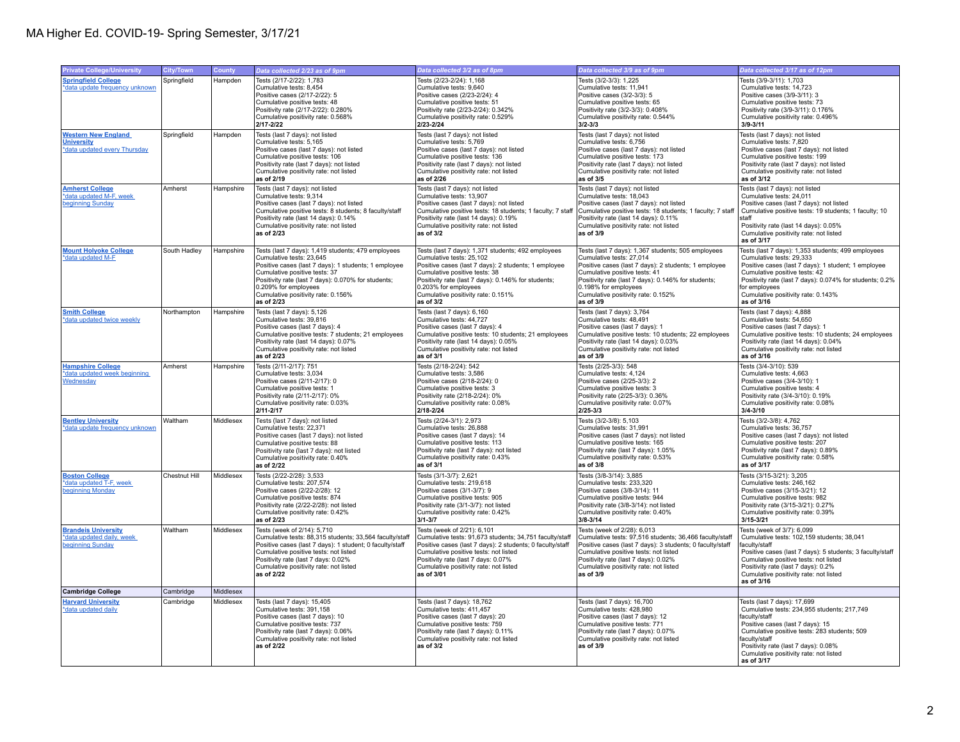| <b>Private College/University</b>                | <b>City/Town</b> | County    | Data collected 2/23 as of 9pm                                                    | Data collected 3/2 as of 8pm                                                     | Data collected 3/9 as of 9pm                                                     | Data collected 3/17 as of 12pm                                                  |
|--------------------------------------------------|------------------|-----------|----------------------------------------------------------------------------------|----------------------------------------------------------------------------------|----------------------------------------------------------------------------------|---------------------------------------------------------------------------------|
| <b>Springfield College</b>                       | Springfield      | Hampden   | Tests (2/17-2/22): 1.783                                                         | Tests (2/23-2/24): 1.168                                                         | Tests (3/2-3/3): 1.225                                                           | Tests (3/9-3/11): 1.703                                                         |
| *data update frequency unknown                   |                  |           | Cumulative tests: 8,454                                                          | Cumulative tests: 9,640                                                          | Cumulative tests: 11,941                                                         | Cumulative tests: 14,723                                                        |
|                                                  |                  |           | Positive cases (2/17-2/22): 5                                                    | Positive cases (2/23-2/24): 4                                                    | Positive cases (3/2-3/3): 5                                                      | Positive cases (3/9-3/11): 3                                                    |
|                                                  |                  |           | Cumulative positive tests: 48                                                    | Cumulative positive tests: 51                                                    | Cumulative positive tests: 65                                                    | Cumulative positive tests: 73                                                   |
|                                                  |                  |           | Positivity rate (2/17-2/22): 0.280%                                              | Positivity rate (2/23-2/24): 0.342%                                              | Positivity rate (3/2-3/3): 0.408%                                                | Positivity rate (3/9-3/11): 0.176%                                              |
|                                                  |                  |           | Cumulative positivity rate: 0.568%                                               | Cumulative positivity rate: 0.529%                                               | Cumulative positivity rate: 0.544%                                               | Cumulative positivity rate: 0.496%                                              |
|                                                  |                  |           | $2/17 - 2/22$                                                                    | 2/23-2/24                                                                        | $3/2 - 3/3$                                                                      | $3/9 - 3/11$                                                                    |
| <b>Western New England</b>                       | Springfield      | Hampden   | Tests (last 7 days): not listed                                                  | Tests (last 7 days): not listed                                                  | Tests (last 7 days): not listed                                                  | Tests (last 7 days): not listed                                                 |
| <b>University</b>                                |                  |           | Cumulative tests: 5,165                                                          | Cumulative tests: 5,769                                                          | Cumulative tests: 6,756                                                          | Cumulative tests: 7,820                                                         |
| *data updated every Thursday                     |                  |           | Positive cases (last 7 days): not listed                                         | Positive cases (last 7 days): not listed                                         | Positive cases (last 7 days): not listed                                         | Positive cases (last 7 days): not listed                                        |
|                                                  |                  |           | Cumulative positive tests: 106                                                   | Cumulative positive tests: 136                                                   | Cumulative positive tests: 173                                                   | Cumulative positive tests: 199                                                  |
|                                                  |                  |           | Positivity rate (last 7 days): not listed                                        | Positivity rate (last 7 days): not listed                                        | Positivity rate (last 7 days): not listed                                        | Positivity rate (last 7 days): not listed                                       |
|                                                  |                  |           | Cumulative positivity rate: not listed                                           | Cumulative positivity rate: not listed                                           | Cumulative positivity rate: not listed                                           | Cumulative positivity rate: not listed                                          |
|                                                  |                  |           | as of 2/19                                                                       | as of 2/26                                                                       | as of 3/5                                                                        | as of 3/12                                                                      |
| <b>Amherst College</b>                           | Amherst          | Hampshire | Tests (last 7 days): not listed                                                  | Tests (last 7 days): not listed                                                  | Tests (last 7 days): not listed                                                  | Tests (last 7 days); not listed                                                 |
| *data updated M-F, week                          |                  |           | Cumulative tests: 9,314                                                          | Cumulative tests: 13,907                                                         | Cumulative tests: 18,043                                                         | Cumulative tests: 24,011                                                        |
| beginning Sunday                                 |                  |           | Positive cases (last 7 days): not listed                                         | Positive cases (last 7 days): not listed                                         | Positive cases (last 7 days): not listed                                         | Positive cases (last 7 days): not listed                                        |
|                                                  |                  |           | Cumulative positive tests: 8 students; 8 faculty/staff                           | Cumulative positive tests: 18 students; 1 faculty; 7 staff                       | Cumulative positive tests: 18 students; 1 faculty; 7 staff                       | Cumulative positive tests: 19 students; 1 faculty; 10                           |
|                                                  |                  |           | Positivity rate (last 14 days): 0.14%                                            | Positivity rate (last 14 days): 0.19%                                            | Positivity rate (last 14 days): 0.11%                                            | staff                                                                           |
|                                                  |                  |           | Cumulative positivity rate: not listed                                           | Cumulative positivity rate: not listed                                           | Cumulative positivity rate: not listed                                           | Positivity rate (last 14 days): 0.05%                                           |
|                                                  |                  |           | as of 2/23                                                                       | as of 3/2                                                                        | as of 3/9                                                                        | Cumulative positivity rate: not listed<br>as of 3/17                            |
|                                                  |                  |           |                                                                                  |                                                                                  |                                                                                  |                                                                                 |
| <b>Mount Holyoke College</b>                     | South Hadley     | Hampshire | Tests (last 7 days): 1,419 students; 479 employees                               | Tests (last 7 days): 1,371 students; 492 employees                               | Tests (last 7 days): 1,367 students; 505 employees                               | Tests (last 7 days): 1,353 students; 499 employees                              |
| *data updated M-F                                |                  |           | Cumulative tests: 23.645<br>Positive cases (last 7 days): 1 students; 1 employee | Cumulative tests: 25.102<br>Positive cases (last 7 days): 2 students; 1 employee | Cumulative tests: 27,014<br>Positive cases (last 7 days): 2 students; 1 employee | Cumulative tests: 29.333<br>Positive cases (last 7 days): 1 student; 1 employee |
|                                                  |                  |           | Cumulative positive tests: 37                                                    | Cumulative positive tests: 38                                                    | Cumulative positive tests: 41                                                    | Cumulative positive tests: 42                                                   |
|                                                  |                  |           | Positivity rate (last 7 days): 0.070% for students;                              | Positivity rate (last 7 days): 0.146% for students;                              | Positivity rate (last 7 days): 0.146% for students;                              | Positivity rate (last 7 days): 0.074% for students; 0.2%                        |
|                                                  |                  |           | 0.209% for employees                                                             | 0.203% for employees                                                             | 0.198% for employees                                                             | for employees                                                                   |
|                                                  |                  |           | Cumulative positivity rate: 0.156%                                               | Cumulative positivity rate: 0.151%                                               | Cumulative positivity rate: 0.152%                                               | Cumulative positivity rate: 0.143%                                              |
|                                                  |                  |           | as of 2/23                                                                       | as of 3/2                                                                        | as of $3/9$                                                                      | as of 3/16                                                                      |
| <b>Smith College</b>                             | Northampton      | Hampshire | Tests (last 7 days): 5,126                                                       | Tests (last 7 days): 6,160                                                       | Tests (last 7 days): 3,764                                                       | Tests (last 7 days): 4,888                                                      |
| *data updated twice weekly                       |                  |           | Cumulative tests: 39,816                                                         | Cumulative tests: 44,727                                                         | Cumulative tests: 48,491                                                         | Cumulative tests: 54,650                                                        |
|                                                  |                  |           | Positive cases (last 7 days): 4                                                  | Positive cases (last 7 days): 4                                                  | Positive cases (last 7 days): 1                                                  | Positive cases (last 7 days): 1                                                 |
|                                                  |                  |           | Cumulative positive tests: 7 students; 21 employees                              | Cumulative positive tests: 10 students; 21 employees                             | Cumulative positive tests: 10 students; 22 employees                             | Cumulative positive tests: 10 students; 24 employees                            |
|                                                  |                  |           | Positivity rate (last 14 days): 0.07%                                            | Positivity rate (last 14 days): 0.05%                                            | Positivity rate (last 14 days): 0.03%                                            | Positivity rate (last 14 days): 0.04%                                           |
|                                                  |                  |           | Cumulative positivity rate: not listed                                           | Cumulative positivity rate: not listed                                           | Cumulative positivity rate: not listed                                           | Cumulative positivity rate: not listed                                          |
|                                                  |                  |           | as of 2/23                                                                       | as of 3/1                                                                        | as of 3/9                                                                        | as of 3/16                                                                      |
| <b>Hampshire College</b>                         | Amherst          | Hampshire | Tests (2/11-2/17): 751                                                           | Tests (2/18-2/24): 542                                                           | Tests (2/25-3/3): 548                                                            | Tests (3/4-3/10): 539                                                           |
| *data updated week beginning                     |                  |           | Cumulative tests: 3,034                                                          | Cumulative tests: 3,586                                                          | Cumulative tests: 4,124                                                          | Cumulative tests: 4,663                                                         |
| Wednesday                                        |                  |           | Positive cases (2/11-2/17): 0                                                    | Positive cases (2/18-2/24): 0                                                    | Positive cases (2/25-3/3): 2                                                     | Positive cases (3/4-3/10): 1                                                    |
|                                                  |                  |           | Cumulative positive tests: 1                                                     | Cumulative positive tests: 3                                                     | Cumulative positive tests: 3                                                     | Cumulative positive tests: 4                                                    |
|                                                  |                  |           | Positivity rate (2/11-2/17): 0%                                                  | Positivity rate (2/18-2/24): 0%                                                  | Positivity rate (2/25-3/3): 0.36%                                                | Positivity rate (3/4-3/10): 0.19%                                               |
|                                                  |                  |           | Cumulative positivity rate: 0.03%                                                | Cumulative positivity rate: 0.08%                                                | Cumulative positivity rate: 0.07%                                                | Cumulative positivity rate: 0.08%                                               |
|                                                  |                  |           | $2/11 - 2/17$                                                                    | 2/18-2/24                                                                        | $2/25 - 3/3$                                                                     | $3/4 - 3/10$                                                                    |
| <b>Bentley University</b>                        | Waltham          | Middlesex | Tests (last 7 days): not listed                                                  | Tests (2/24-3/1): 2,973                                                          | Tests (3/2-3/8): 5,103                                                           | Tests (3/2-3/8): 4,762                                                          |
| *data update frequency unknowr                   |                  |           | Cumulative tests: 22.371                                                         | Cumulative tests: 26,888                                                         | Cumulative tests: 31,991                                                         | Cumulative tests: 36,757                                                        |
|                                                  |                  |           | Positive cases (last 7 days): not listed                                         | Positive cases (last 7 days): 14<br>Cumulative positive tests: 113               | Positive cases (last 7 days): not listed<br>Cumulative positive tests: 165       | Positive cases (last 7 days): not listed<br>Cumulative positive tests: 207      |
|                                                  |                  |           | Cumulative positive tests: 88<br>Positivity rate (last 7 days): not listed       | Positivity rate (last 7 days): not listed                                        | Positivity rate (last 7 days): 1.05%                                             | Positivity rate (last 7 days): 0.89%                                            |
|                                                  |                  |           | Cumulative positivity rate: 0.40%                                                | Cumulative positivity rate: 0.43%                                                | Cumulative positivity rate: 0.53%                                                | Cumulative positivity rate: 0.58%                                               |
|                                                  |                  |           | as of 2/22                                                                       | as of 3/1                                                                        | as of 3/8                                                                        | as of 3/17                                                                      |
|                                                  |                  |           |                                                                                  |                                                                                  |                                                                                  |                                                                                 |
| <b>Boston College</b><br>*data updated T-F, week | Chestnut Hill    | Middlesex | Tests (2/22-2/28): 3,533<br>Cumulative tests: 207,574                            | Tests (3/1-3/7): 2,621<br>Cumulative tests: 219,618                              | Tests (3/8-3/14): 3,885<br>Cumulative tests: 233.320                             | Tests (3/15-3/21): 3,205<br>Cumulative tests: 246.162                           |
| beginning Monday                                 |                  |           | Positive cases (2/22-2/28): 12                                                   | Positive cases (3/1-3/7): 9                                                      | Positive cases (3/8-3/14): 11                                                    | Positive cases (3/15-3/21): 12                                                  |
|                                                  |                  |           | Cumulative positive tests: 874                                                   | Cumulative positive tests: 905                                                   | Cumulative positive tests: 944                                                   | Cumulative positive tests: 982                                                  |
|                                                  |                  |           | Positivity rate (2/22-2/28): not listed                                          | Positivity rate (3/1-3/7): not listed                                            | Positivity rate (3/8-3/14): not listed                                           | Positivity rate (3/15-3/21): 0.27%                                              |
|                                                  |                  |           | Cumulative positivity rate: 0.42%                                                | Cumulative positivity rate: 0.42%                                                | Cumulative positivity rate: 0.40%                                                | Cumulative positivity rate: 0.39%                                               |
|                                                  |                  |           | as of 2/23                                                                       | $3/1 - 3/7$                                                                      | $3/8 - 3/14$                                                                     | $3/15 - 3/21$                                                                   |
| <b>Brandeis University</b>                       | Waltham          | Middlesex | Tests (week of 2/14): 5,710                                                      | Tests (week of 2/21): 6,101                                                      | Tests (week of 2/28): 6,013                                                      | Tests (week of 3/7): 6,099                                                      |
| *data updated daily, week                        |                  |           | Cumulative tests: 88,315 students; 33,564 faculty/staff                          | Cumulative tests: 91,673 students; 34,751 faculty/staff                          | Cumulative tests: 97,516 students; 36,466 faculty/staff                          | Cumulative tests: 102,159 students; 38,041                                      |
| beginning Sunday                                 |                  |           | Positive cases (last 7 days): 1 student; 0 faculty/staff                         | Positive cases (last 7 days): 2 students; 0 faculty/staff                        | Positive cases (last 7 days): 3 students; 0 faculty/staff                        | faculty/staff                                                                   |
|                                                  |                  |           | Cumulative positive tests: not listed                                            | Cumulative positive tests: not listed                                            | Cumulative positive tests: not listed                                            | Positive cases (last 7 days): 5 students; 3 faculty/staff                       |
|                                                  |                  |           | Positivity rate (last 7 days: 0.02%                                              | Positivity rate (last 7 days: 0.07%                                              | Positivity rate (last 7 days): 0.02%                                             | Cumulative positive tests: not listed                                           |
|                                                  |                  |           | Cumulative positivity rate: not listed                                           | Cumulative positivity rate: not listed                                           | Cumulative positivity rate: not listed                                           | Positivity rate (last 7 days): 0.2%                                             |
|                                                  |                  |           | as of 2/22                                                                       | as of 3/01                                                                       | as of 3/9                                                                        | Cumulative positivity rate: not listed<br>as of 3/16                            |
| <b>Cambridge College</b>                         | Cambridge        | Middlesex |                                                                                  |                                                                                  |                                                                                  |                                                                                 |
| <b>Harvard University</b>                        | Cambridge        | Middlesex | Tests (last 7 days): 15,405                                                      | Tests (last 7 days): 18.762                                                      | Tests (last 7 days): 16,700                                                      | Tests (last 7 days): 17,699                                                     |
| *data updated daily                              |                  |           | Cumulative tests: 391,158                                                        | Cumulative tests: 411,457                                                        | Cumulative tests: 428,980                                                        | Cumulative tests: 234,955 students; 217,749                                     |
|                                                  |                  |           | Positive cases (last 7 days): 10                                                 | Positive cases (last 7 days): 20                                                 | Positive cases (last 7 days): 12                                                 | faculty/staff                                                                   |
|                                                  |                  |           | Cumulative positive tests: 737                                                   | Cumulative positive tests: 759                                                   | Cumulative positive tests: 771                                                   | Positive cases (last 7 days): 15                                                |
|                                                  |                  |           | Positivity rate (last 7 days): 0.06%                                             | Positivity rate (last 7 days): 0.11%                                             | Positivity rate (last 7 days): 0.07%                                             | Cumulative positive tests: 283 students; 509                                    |
|                                                  |                  |           | Cumulative positivity rate: not listed                                           | Cumulative positivity rate: not listed                                           | Cumulative positivity rate: not listed                                           | faculty/staff                                                                   |
|                                                  |                  |           | as of 2/22                                                                       | as of 3/2                                                                        | as of 3/9                                                                        | Positivity rate (last 7 days): 0.08%                                            |
|                                                  |                  |           |                                                                                  |                                                                                  |                                                                                  | Cumulative positivity rate: not listed                                          |
|                                                  |                  |           |                                                                                  |                                                                                  |                                                                                  | as of 3/17                                                                      |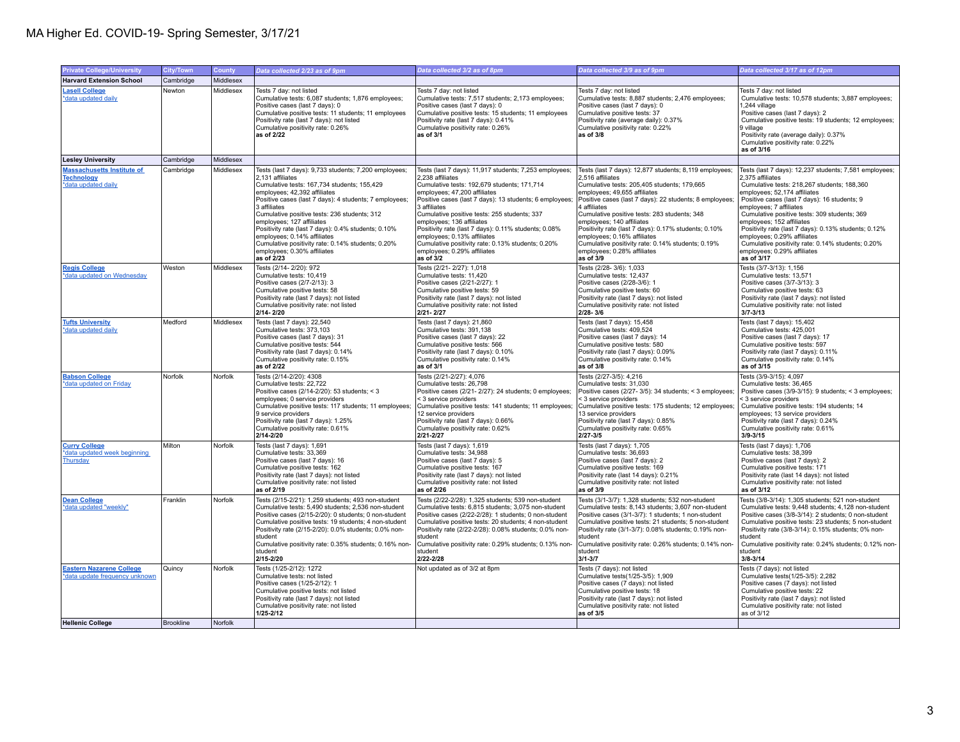## MA Higher Ed. COVID-19- Spring Semester, 3/17/21

| <b>Private College/University</b>                                             | City/Town        | County    | Data collected 2/23 as of 9pm                                                                                                                                                                                                                                                                                                                                                                                                                                                                           | Data collected 3/2 as of 8pm                                                                                                                                                                                                                                                                                                                                                                                                                                                                              | Data collected 3/9 as of 9pm                                                                                                                                                                                                                                                                                                                                                                                                                                                                                | Data collected 3/17 as of 12pm                                                                                                                                                                                                                                                                                                                                                                                                                                                                             |
|-------------------------------------------------------------------------------|------------------|-----------|---------------------------------------------------------------------------------------------------------------------------------------------------------------------------------------------------------------------------------------------------------------------------------------------------------------------------------------------------------------------------------------------------------------------------------------------------------------------------------------------------------|-----------------------------------------------------------------------------------------------------------------------------------------------------------------------------------------------------------------------------------------------------------------------------------------------------------------------------------------------------------------------------------------------------------------------------------------------------------------------------------------------------------|-------------------------------------------------------------------------------------------------------------------------------------------------------------------------------------------------------------------------------------------------------------------------------------------------------------------------------------------------------------------------------------------------------------------------------------------------------------------------------------------------------------|------------------------------------------------------------------------------------------------------------------------------------------------------------------------------------------------------------------------------------------------------------------------------------------------------------------------------------------------------------------------------------------------------------------------------------------------------------------------------------------------------------|
| <b>Harvard Extension School</b>                                               | Cambridge        | Middlesex |                                                                                                                                                                                                                                                                                                                                                                                                                                                                                                         |                                                                                                                                                                                                                                                                                                                                                                                                                                                                                                           |                                                                                                                                                                                                                                                                                                                                                                                                                                                                                                             |                                                                                                                                                                                                                                                                                                                                                                                                                                                                                                            |
| <b>Lasell College</b><br>*data updated daily                                  | Newton           | Middlesex | Tests 7 day: not listed<br>Cumulative tests: 6,087 students; 1,876 employees;<br>Positive cases (last 7 days): 0<br>Cumulative positive tests: 11 students; 11 employees<br>Positivity rate (last 7 days): not listed<br>Cumulative positivity rate: 0.26%<br>as of 2/22                                                                                                                                                                                                                                | Tests 7 day: not listed<br>Cumulative tests: 7,517 students; 2,173 employees;<br>Positive cases (last 7 days): 0<br>Cumulative positive tests: 15 students; 11 employees<br>Positivity rate (last 7 days): 0.41%<br>Cumulative positivity rate: 0.26%<br>as of 3/1                                                                                                                                                                                                                                        | Tests 7 day: not listed<br>Cumulative tests: 8,887 students; 2,476 employees;<br>Positive cases (last 7 days): 0<br>Cumulative positive tests: 37<br>Positivity rate (average daily): 0.37%<br>Cumulative positivity rate: 0.22%<br>as of 3/8                                                                                                                                                                                                                                                               | Tests 7 day: not listed<br>Cumulative tests: 10,578 students; 3,887 employees;<br>1.244 village<br>Positive cases (last 7 days): 2<br>Cumulative positive tests: 19 students; 12 employees;<br>9 village<br>Positivity rate (average daily): 0.37%<br>Cumulative positivity rate: 0.22%<br>as of 3/16                                                                                                                                                                                                      |
| <b>Lesley University</b>                                                      | Cambridge        | Middlesex |                                                                                                                                                                                                                                                                                                                                                                                                                                                                                                         |                                                                                                                                                                                                                                                                                                                                                                                                                                                                                                           |                                                                                                                                                                                                                                                                                                                                                                                                                                                                                                             |                                                                                                                                                                                                                                                                                                                                                                                                                                                                                                            |
| <b>Massachusetts Institute of</b><br><b>Technology</b><br>*data updated daily | Cambridge        | Middlesex | Tests (last 7 days): 9,733 students; 7,200 employees;<br>2.131 affiliates<br>Cumulative tests: 167,734 students; 155,429<br>employees; 42,392 affiliates<br>Positive cases (last 7 days): 4 students; 7 employees;<br>3 affiliates<br>Cumulative positive tests: 236 students; 312<br>employees; 127 affiliates<br>Positivity rate (last 7 days): 0.4% students; 0.10%<br>employees; 0.14% affiliates<br>Cumulative positivity rate: 0.14% students: 0.20%<br>employees; 0.30% affiliates<br>as of 2/23 | Tests (last 7 days): 11,917 students; 7,253 employees;<br>2.238 affiliates<br>Cumulative tests: 192,679 students; 171,714<br>employees; 47,200 affiliates<br>Positive cases (last 7 days): 13 students; 6 employees;<br>3 affiliates<br>Cumulative positive tests: 255 students; 337<br>employees; 136 affiliates<br>Positivity rate (last 7 days): 0.11% students; 0.08%<br>employees; 0.13% affiliates<br>Cumulative positivity rate: 0.13% students: 0.20%<br>employees; 0.29% affiliates<br>as of 3/2 | Tests (last 7 days): 12,877 students; 8,119 employees;<br>2.516 affiliates<br>Cumulative tests: 205,405 students; 179,665<br>employees; 49,655 affiliates<br>Positive cases (last 7 days): 22 students; 8 employees;<br>4 affiliates<br>Cumulative positive tests: 283 students; 348<br>employees; 140 affiliates<br>Positivity rate (last 7 days): 0.17% students; 0.10%<br>employees; 0.16% affiliates<br>Cumulative positivity rate: 0.14% students: 0.19%<br>employees; 0.28% affiliates<br>as of $3/9$ | Tests (last 7 days): 12,237 students; 7,581 employees;<br>2.375 affiliates<br>Cumulative tests: 218,267 students; 188,360<br>employees; 52,174 affiliates<br>Positive cases (last 7 days): 16 students; 9<br>employees; 7 affiliates<br>Cumulative positive tests: 309 students; 369<br>employees; 152 affiliates<br>Positivity rate (last 7 days): 0.13% students; 0.12%<br>employees; 0.29% affiliates<br>Cumulative positivity rate: 0.14% students: 0.20%<br>employees; 0.29% affiliates<br>as of 3/17 |
| <b>Regis College</b><br>*data updated on Wednesday                            | Weston           | Middlesex | Tests (2/14-2/20): 972<br>Cumulative tests: 10,419<br>Positive cases (2/7-2/13): 3<br>Cumulative positive tests: 58<br>Positivity rate (last 7 days): not listed<br>Cumulative positivity rate: not listed<br>2/14-2/20                                                                                                                                                                                                                                                                                 | Tests (2/21-2/27): 1.018<br>Cumulative tests: 11,420<br>Positive cases (2/21-2/27): 1<br>Cumulative positive tests: 59<br>Positivity rate (last 7 days): not listed<br>Cumulative positivity rate: not listed<br>2/21-2/27                                                                                                                                                                                                                                                                                | Tests (2/28-3/6): 1.033<br>Cumulative tests: 12,437<br>Positive cases (2/28-3/6): 1<br>Cumulative positive tests: 60<br>Positivity rate (last 7 days): not listed<br>Cumulative positivity rate: not listed<br>$2/28 - 3/6$                                                                                                                                                                                                                                                                                 | Tests (3/7-3/13): 1.156<br>Cumulative tests: 13,571<br>Positive cases (3/7-3/13): 3<br>Cumulative positive tests: 63<br>Positivity rate (last 7 days): not listed<br>Cumulative positivity rate: not listed<br>$3/7 - 3/13$                                                                                                                                                                                                                                                                                |
| <b>Tufts University</b><br>*data updated daily                                | Medford          | Middlesex | Tests (last 7 days): 22,540<br>Cumulative tests: 373,103<br>Positive cases (last 7 days): 31<br>Cumulative positive tests: 544<br>Positivity rate (last 7 days): 0.14%<br>Cumulative positivity rate: 0.15%<br>as of 2/22                                                                                                                                                                                                                                                                               | Tests (last 7 days): 21,860<br>Cumulative tests: 391,138<br>Positive cases (last 7 days): 22<br>Cumulative positive tests: 566<br>Positivity rate (last 7 days): 0.10%<br>Cumulative positivity rate: 0.14%<br>as of 3/1                                                                                                                                                                                                                                                                                  | Tests (last 7 days): 15,458<br>Cumulative tests: 409,524<br>Positive cases (last 7 days): 14<br>Cumulative positive tests: 580<br>Positivity rate (last 7 days): 0.09%<br>Cumulative positivity rate: 0.14%<br>as of 3/8                                                                                                                                                                                                                                                                                    | Tests (last 7 days): 15,402<br>Cumulative tests: 425,001<br>Positive cases (last 7 days): 17<br>Cumulative positive tests: 597<br>Positivity rate (last 7 days): 0.11%<br>Cumulative positivity rate: 0.14%<br>as of 3/15                                                                                                                                                                                                                                                                                  |
| <b>Babson College</b><br>*data updated on Friday                              | Norfolk          | Norfolk   | Tests (2/14-2/20): 4308<br>Cumulative tests: 22,722<br>Positive cases (2/14-2/20): 53 students; < 3<br>employees; 0 service providers<br>Cumulative positive tests: 117 students; 11 employees;<br>9 service providers<br>Positivity rate (last 7 days): 1.25%<br>Cumulative positivity rate: 0.61%<br>2/14-2/20                                                                                                                                                                                        | Tests (2/21-2/27): 4,076<br>Cumulative tests: 26,798<br>Positive cases (2/21-2/27): 24 students; 0 employees;<br>< 3 service providers<br>Cumulative positive tests: 141 students; 11 employees;<br>12 service providers<br>Positivity rate (last 7 days): 0.66%<br>Cumulative positivity rate: 0.62%<br>2/21-2/27                                                                                                                                                                                        | Tests (2/27-3/5): 4,216<br>Cumulative tests: 31,030<br>Positive cases (2/27-3/5): 34 students; < 3 employees;<br>< 3 service providers<br>Cumulative positive tests: 175 students; 12 employees;<br>13 service providers<br>Positivity rate (last 7 days): 0.85%<br>Cumulative positivity rate: 0.65%<br>$2/27 - 3/5$                                                                                                                                                                                       | Tests (3/9-3/15): 4,097<br>Cumulative tests: 36,465<br>Positive cases (3/9-3/15): 9 students; < 3 employees;<br>< 3 service providers<br>Cumulative positive tests: 194 students; 14<br>employees; 13 service providers<br>Positivity rate (last 7 days): 0.24%<br>Cumulative positivity rate: 0.61%<br>$3/9 - 3/15$                                                                                                                                                                                       |
| <b>Curry College</b><br>*data updated week beginning<br>Thursday              | Milton           | Norfolk   | Tests (last 7 days): 1,691<br>Cumulative tests: 33.369<br>Positive cases (last 7 days): 16<br>Cumulative positive tests: 162<br>Positivity rate (last 7 days): not listed<br>Cumulative positivity rate: not listed<br>as of 2/19                                                                                                                                                                                                                                                                       | Tests (last 7 days): 1,619<br>Cumulative tests: 34.988<br>Positive cases (last 7 days): 5<br>Cumulative positive tests: 167<br>Positivity rate (last 7 days): not listed<br>Cumulative positivity rate: not listed<br>as of 2/26                                                                                                                                                                                                                                                                          | Tests (last 7 days): 1,705<br>Cumulative tests: 36.693<br>Positive cases (last 7 days): 2<br>Cumulative positive tests: 169<br>Positivity rate (last 14 days): 0.21%<br>Cumulative positivity rate: not listed<br>as of 3/9                                                                                                                                                                                                                                                                                 | Tests (last 7 days): 1,706<br>Cumulative tests: 38.399<br>Positive cases (last 7 days): 2<br>Cumulative positive tests: 171<br>Positivity rate (last 14 days): not listed<br>Cumulative positivity rate: not listed<br>as of 3/12                                                                                                                                                                                                                                                                          |
| <b>Dean College</b><br>*data updated "weekly"                                 | Franklin         | Norfolk   | Tests (2/15-2/21): 1,259 students; 493 non-student<br>Cumulative tests: 5,490 students; 2,536 non-student<br>Positive cases (2/15-2/20): 0 students; 0 non-student<br>Cumulative positive tests: 19 students; 4 non-student<br>Positivity rate (2/15-2/20): 0.0% students; 0.0% non-<br>student<br>Cumulative positivity rate: 0.35% students; 0.16% non<br>student<br>2/15-2/20                                                                                                                        | Tests (2/22-2/28): 1,325 students; 539 non-student<br>Cumulative tests: 6,815 students; 3,075 non-student<br>Positive cases (2/22-2/28): 1 students; 0 non-student<br>Cumulative positive tests: 20 students; 4 non-student<br>Positivity rate (2/22-2/28): 0.08% students; 0.0% non-<br>student<br>Cumulative positivity rate: 0.29% students; 0.13% non-<br>student<br>2/22-2/28                                                                                                                        | Tests (3/1-3/7): 1,328 students; 532 non-student<br>Cumulative tests: 8,143 students; 3,607 non-student<br>Positive cases (3/1-3/7): 1 students; 1 non-student<br>Cumulative positive tests: 21 students; 5 non-student<br>Positivity rate (3/1-3/7): 0.08% students; 0.19% non-<br>student<br>Cumulative positivity rate: 0.26% students; 0.14% non-<br>student<br>$3/1 - 3/7$                                                                                                                             | Tests (3/8-3/14): 1,305 students; 521 non-student<br>Cumulative tests: 9,448 students; 4,128 non-student<br>Positive cases (3/8-3/14): 2 students; 0 non-student<br>Cumulative positive tests: 23 students; 5 non-student<br>Positivity rate (3/8-3/14): 0.15% students; 0% non-<br>student<br>Cumulative positivity rate: 0.24% students; 0.12% non-<br>student<br>$3/8 - 3/14$                                                                                                                           |
| <b>Eastern Nazarene College</b><br>*data update frequency unknown             | Quincy           | Norfolk   | Tests (1/25-2/12): 1272<br>Cumulative tests: not listed<br>Positive cases (1/25-2/12): 1<br>Cumulative positive tests: not listed<br>Positivity rate (last 7 days): not listed<br>Cumulative positivity rate: not listed<br>$1/25 - 2/12$                                                                                                                                                                                                                                                               | Not updated as of 3/2 at 8pm                                                                                                                                                                                                                                                                                                                                                                                                                                                                              | Tests (7 days): not listed<br>Cumulative tests(1/25-3/5): 1,909<br>Positive cases (7 days): not listed<br>Cumulative positive tests: 18<br>Positivity rate (last 7 days): not listed<br>Cumulative positivity rate: not listed<br>as of 3/5                                                                                                                                                                                                                                                                 | Tests (7 days): not listed<br>Cumulative tests (1/25-3/5): 2,282<br>Positive cases (7 days): not listed<br>Cumulative positive tests: 22<br>Positivity rate (last 7 days): not listed<br>Cumulative positivity rate: not listed<br>as of 3/12                                                                                                                                                                                                                                                              |
| <b>Hellenic College</b>                                                       | <b>Brookline</b> | Norfolk   |                                                                                                                                                                                                                                                                                                                                                                                                                                                                                                         |                                                                                                                                                                                                                                                                                                                                                                                                                                                                                                           |                                                                                                                                                                                                                                                                                                                                                                                                                                                                                                             |                                                                                                                                                                                                                                                                                                                                                                                                                                                                                                            |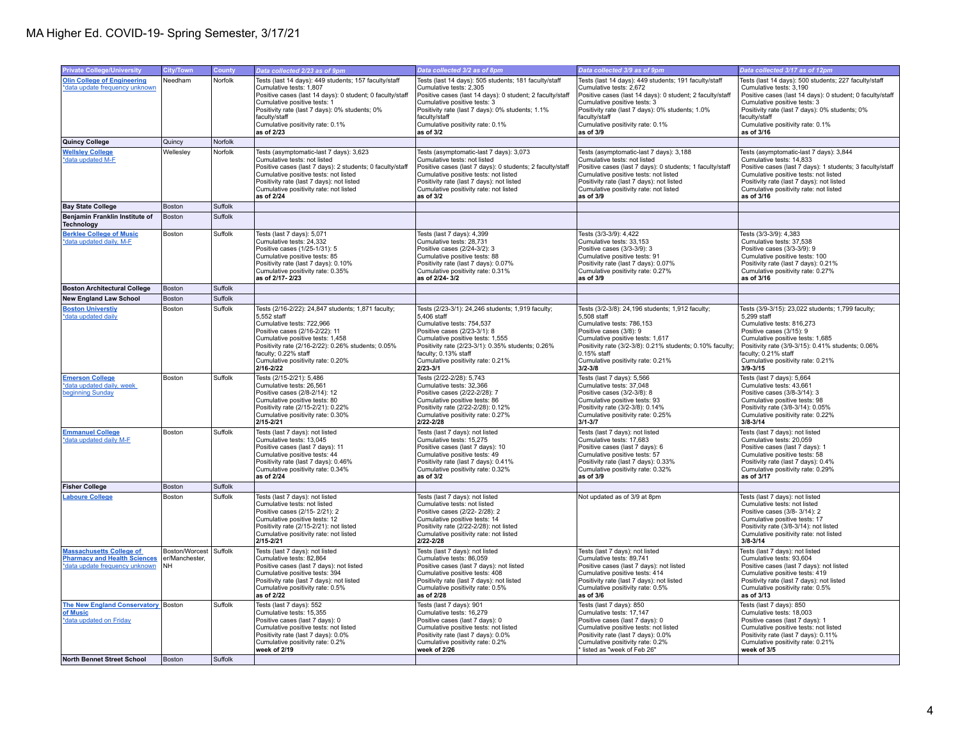| <b>Private College/University</b>                                                                        | City/Town                                       | County  | Data collected 2/23 as of 9pm                                                                                                                                                                                                                                                                        | Data collected 3/2 as of 8pm                                                                                                                                                                                                                                                                        | Data collected 3/9 as of 9pm                                                                                                                                                                                                                                                                        | Data collected 3/17 as of 12pm                                                                                                                                                                                                                                                                     |
|----------------------------------------------------------------------------------------------------------|-------------------------------------------------|---------|------------------------------------------------------------------------------------------------------------------------------------------------------------------------------------------------------------------------------------------------------------------------------------------------------|-----------------------------------------------------------------------------------------------------------------------------------------------------------------------------------------------------------------------------------------------------------------------------------------------------|-----------------------------------------------------------------------------------------------------------------------------------------------------------------------------------------------------------------------------------------------------------------------------------------------------|----------------------------------------------------------------------------------------------------------------------------------------------------------------------------------------------------------------------------------------------------------------------------------------------------|
| <b>Olin College of Engineering</b><br>*data update frequency unknown                                     | Needham                                         | Norfolk | Tests (last 14 days): 449 students; 157 faculty/staff<br>Cumulative tests: 1,807<br>Positive cases (last 14 days): 0 student; 0 faculty/staff<br>Cumulative positive tests: 1<br>Positivity rate (last 7 days): 0% students; 0%<br>faculty/staff<br>Cumulative positivity rate: 0.1%<br>as of 2/23   | Tests (last 14 days): 505 students; 181 faculty/staff<br>Cumulative tests: 2,305<br>Positive cases (last 14 days): 0 student; 2 faculty/staff<br>Cumulative positive tests: 3<br>Positivity rate (last 7 days): 0% students; 1.1%<br>faculty/staff<br>Cumulative positivity rate: 0.1%<br>as of 3/2 | Tests (last 14 days): 449 students; 191 faculty/staff<br>Cumulative tests: 2,672<br>Positive cases (last 14 days): 0 student; 2 faculty/staff<br>Cumulative positive tests: 3<br>Positivity rate (last 7 days): 0% students; 1.0%<br>faculty/staff<br>Cumulative positivity rate: 0.1%<br>as of 3/9 | Tests (last 14 days): 500 students; 227 faculty/staff<br>Cumulative tests: 3,190<br>Positive cases (last 14 days): 0 student; 0 faculty/staff<br>Cumulative positive tests: 3<br>Positivity rate (last 7 days): 0% students; 0%<br>faculty/staff<br>Cumulative positivity rate: 0.1%<br>as of 3/16 |
| Quincy College                                                                                           | Quincy                                          | Norfolk |                                                                                                                                                                                                                                                                                                      |                                                                                                                                                                                                                                                                                                     |                                                                                                                                                                                                                                                                                                     |                                                                                                                                                                                                                                                                                                    |
| <b>Wellsley College</b><br>*data updated M-F                                                             | Wellesley                                       | Norfolk | Tests (asymptomatic-last 7 days): 3,623<br>Cumulative tests: not listed<br>Positive cases (last 7 days): 2 students; 0 faculty/staff<br>Cumulative positive tests: not listed<br>Positivity rate (last 7 days): not listed<br>Cumulative positivity rate: not listed<br>as of 2/24                   | Tests (asymptomatic-last 7 days): 3,073<br>Cumulative tests: not listed<br>Positive cases (last 7 days): 0 students; 2 faculty/staff<br>Cumulative positive tests: not listed<br>Positivity rate (last 7 days): not listed<br>Cumulative positivity rate: not listed<br>as of 3/2                   | Tests (asymptomatic-last 7 days): 3,188<br>Cumulative tests: not listed<br>Positive cases (last 7 days): 0 students; 1 faculty/staff<br>Cumulative positive tests: not listed<br>Positivity rate (last 7 days): not listed<br>Cumulative positivity rate: not listed<br>as of 3/9                   | Tests (asymptomatic-last 7 days): 3,844<br>Cumulative tests: 14,833<br>Positive cases (last 7 days): 1 students; 3 faculty/staff<br>Cumulative positive tests: not listed<br>Positivity rate (last 7 days): not listed<br>Cumulative positivity rate: not listed<br>as of 3/16                     |
| <b>Bay State College</b>                                                                                 | Boston                                          | Suffolk |                                                                                                                                                                                                                                                                                                      |                                                                                                                                                                                                                                                                                                     |                                                                                                                                                                                                                                                                                                     |                                                                                                                                                                                                                                                                                                    |
| Benjamin Franklin Institute of<br><b>Technology</b>                                                      | Boston                                          | Suffolk |                                                                                                                                                                                                                                                                                                      |                                                                                                                                                                                                                                                                                                     |                                                                                                                                                                                                                                                                                                     |                                                                                                                                                                                                                                                                                                    |
| <b>Berklee College of Music</b><br>*data updated daily, M-F                                              | Boston                                          | Suffolk | Tests (last 7 days): 5,071<br>Cumulative tests: 24.332<br>Positive cases (1/25-1/31): 5<br>Cumulative positive tests: 85<br>Positivity rate (last 7 days): 0.10%<br>Cumulative positivity rate: 0.35%<br>as of 2/17-2/23                                                                             | Tests (last 7 days): 4,399<br>Cumulative tests: 28.731<br>Positive cases (2/24-3/2): 3<br>Cumulative positive tests: 88<br>Positivity rate (last 7 days): 0.07%<br>Cumulative positivity rate: 0.31%<br>as of 2/24-3/2                                                                              | Tests (3/3-3/9): 4,422<br>Cumulative tests: 33.153<br>Positive cases (3/3-3/9): 3<br>Cumulative positive tests: 91<br>Positivity rate (last 7 days): 0.07%<br>Cumulative positivity rate: 0.27%<br>as of 3/9                                                                                        | Tests (3/3-3/9): 4,383<br>Cumulative tests: 37.538<br>Positive cases (3/3-3/9): 9<br>Cumulative positive tests: 100<br>Positivity rate (last 7 days): 0.21%<br>Cumulative positivity rate: 0.27%<br>as of 3/16                                                                                     |
| <b>Boston Architectural College</b>                                                                      | Boston                                          | Suffolk |                                                                                                                                                                                                                                                                                                      |                                                                                                                                                                                                                                                                                                     |                                                                                                                                                                                                                                                                                                     |                                                                                                                                                                                                                                                                                                    |
| <b>New England Law School</b>                                                                            | Boston                                          | Suffolk |                                                                                                                                                                                                                                                                                                      |                                                                                                                                                                                                                                                                                                     |                                                                                                                                                                                                                                                                                                     |                                                                                                                                                                                                                                                                                                    |
| <b>Boston Universtiv</b><br>*data updated daily                                                          | Boston                                          | Suffolk | Tests (2/16-2/22): 24,847 students; 1,871 faculty;<br>5,552 staff<br>Cumulative tests: 722.966<br>Positive cases (2/16-2/22): 11<br>Cumulative positive tests: 1,458<br>Positivity rate (2/16-2/22): 0.26% students; 0.05%<br>faculty; 0.22% staff<br>Cumulative positivity rate: 0.20%<br>2/16-2/22 | Tests (2/23-3/1): 24,246 students; 1,919 faculty;<br>5,406 staff<br>Cumulative tests: 754.537<br>Positive cases (2/23-3/1): 8<br>Cumulative positive tests: 1,555<br>Positivity rate (2/23-3/1): 0.35% students; 0.26%<br>faculty; 0.13% staff<br>Cumulative positivity rate: 0.21%<br>$2/23 - 3/1$ | Tests (3/2-3/8): 24,196 students; 1,912 faculty;<br>5,508 staff<br>Cumulative tests: 786.153<br>Positive cases (3/8): 9<br>Cumulative positive tests: 1,617<br>Positivity rate (3/2-3/8): 0.21% students; 0.10% faculty;<br>0.15% staff<br>Cumulative positivity rate: 0.21%<br>$3/2 - 3/8$         | Tests (3/9-3/15): 23,022 students; 1,799 faculty;<br>5,299 staff<br>Cumulative tests: 816.273<br>Positive cases (3/15): 9<br>Cumulative positive tests: 1,685<br>Positivity rate (3/9-3/15): 0.41% students; 0.06%<br>faculty; 0.21% staff<br>Cumulative positivity rate: 0.21%<br>$3/9 - 3/15$    |
| <b>Emerson College</b><br>*data updated daily, week<br>beginning Sunday                                  | Boston                                          | Suffolk | Tests (2/15-2/21): 5,486<br>Cumulative tests: 26,561<br>Positive cases (2/8-2/14): 12<br>Cumulative positive tests: 80<br>Positivity rate (2/15-2/21): 0.22%<br>Cumulative positivity rate: 0.30%<br>2/15-2/21                                                                                       | Tests (2/22-2/28): 5,743<br>Cumulative tests: 32,366<br>Positive cases (2/22-2/28): 7<br>Cumulative positive tests: 86<br>Positivity rate (2/22-2/28): 0.12%<br>Cumulative positivity rate: 0.27%<br>2/22-2/28                                                                                      | Tests (last 7 days): 5,566<br>Cumulative tests: 37,048<br>Positive cases (3/2-3/8): 8<br>Cumulative positive tests: 93<br>Positivity rate (3/2-3/8): 0.14%<br>Cumulative positivity rate: 0.25%<br>$3/1 - 3/7$                                                                                      | Tests (last 7 days): 5,664<br>Cumulative tests: 43,661<br>Positive cases (3/8-3/14): 3<br>Cumulative positive tests: 98<br>Positivity rate (3/8-3/14): 0.05%<br>Cumulative positivity rate: 0.22%<br>$3/8 - 3/14$                                                                                  |
| <b>Emmanuel College</b><br>*data updated daily M-F                                                       | Boston                                          | Suffolk | Tests (last 7 days): not listed<br>Cumulative tests: 13,045<br>Positive cases (last 7 days): 11<br>Cumulative positive tests: 44<br>Positivity rate (last 7 days): 0.46%<br>Cumulative positivity rate: 0.34%<br>as of 2/24                                                                          | Tests (last 7 days): not listed<br>Cumulative tests: 15,275<br>Positive cases (last 7 days): 10<br>Cumulative positive tests: 49<br>Positivity rate (last 7 days): 0.41%<br>Cumulative positivity rate: 0.32%<br>as of 3/2                                                                          | Tests (last 7 days): not listed<br>Cumulative tests: 17,683<br>Positive cases (last 7 days): 6<br>Cumulative positive tests: 57<br>Positivity rate (last 7 days): 0.33%<br>Cumulative positivity rate: 0.32%<br>as of 3/9                                                                           | Tests (last 7 days): not listed<br>Cumulative tests: 20,059<br>Positive cases (last 7 days): 1<br>Cumulative positive tests: 58<br>Positivity rate (last 7 days): 0.4%<br>Cumulative positivity rate: 0.29%<br>as of 3/17                                                                          |
| <b>Fisher College</b>                                                                                    | Boston                                          | Suffolk |                                                                                                                                                                                                                                                                                                      |                                                                                                                                                                                                                                                                                                     |                                                                                                                                                                                                                                                                                                     |                                                                                                                                                                                                                                                                                                    |
| <b>Laboure College</b>                                                                                   | Boston                                          | Suffolk | Tests (last 7 days): not listed<br>Cumulative tests: not listed<br>Positive cases (2/15-2/21): 2<br>Cumulative positive tests: 12<br>Positivity rate (2/15-2/21): not listed<br>Cumulative positivity rate: not listed<br>2/15-2/21                                                                  | Tests (last 7 days): not listed<br>Cumulative tests: not listed<br>Positive cases (2/22-2/28): 2<br>Cumulative positive tests: 14<br>Positivity rate (2/22-2/28): not listed<br>Cumulative positivity rate: not listed<br>2/22-2/28                                                                 | Not updated as of 3/9 at 8pm                                                                                                                                                                                                                                                                        | Tests (last 7 days): not listed<br>Cumulative tests: not listed<br>Positive cases (3/8-3/14): 2<br>Cumulative positive tests: 17<br>Positivity rate (3/8-3/14): not listed<br>Cumulative positivity rate: not listed<br>$3/8 - 3/14$                                                               |
| <b>Massachusetts College of</b><br><b>Pharmacy and Health Sciences</b><br>*data update frequency unknown | Boston/Worcest Suffolk<br>er/Manchester,<br>İмн |         | Tests (last 7 days): not listed<br>Cumulative tests: 82,864<br>Positive cases (last 7 days): not listed<br>Cumulative positive tests: 394<br>Positivity rate (last 7 days): not listed<br>Cumulative positivity rate: 0.5%<br>as of 2/22                                                             | Tests (last 7 days): not listed<br>Cumulative tests: 86,059<br>Positive cases (last 7 days): not listed<br>Cumulative positive tests: 408<br>Positivity rate (last 7 days): not listed<br>Cumulative positivity rate: 0.5%<br>as of 2/28                                                            | Tests (last 7 days): not listed<br>Cumulative tests: 89,741<br>Positive cases (last 7 days): not listed<br>Cumulative positive tests: 414<br>Positivity rate (last 7 days): not listed<br>Cumulative positivity rate: 0.5%<br>as of 3/6                                                             | Tests (last 7 days): not listed<br>Cumulative tests: 93,604<br>Positive cases (last 7 days): not listed<br>Cumulative positive tests: 419<br>Positivity rate (last 7 days): not listed<br>Cumulative positivity rate: 0.5%<br>as of 3/13                                                           |
| The New England Conservatory Boston<br>of Music<br>*data updated on Friday                               |                                                 | Suffolk | Tests (last 7 days): 552<br>Cumulative tests: 15,355<br>Positive cases (last 7 days): 0<br>Cumulative positive tests: not listed<br>Positivity rate (last 7 days): 0.0%<br>Cumulative positivity rate: 0.2%<br>week of 2/19                                                                          | Tests (last 7 days): 901<br>Cumulative tests: 16,279<br>Positive cases (last 7 days): 0<br>Cumulative positive tests: not listed<br>Positivity rate (last 7 days): 0.0%<br>Cumulative positivity rate: 0.2%<br>week of 2/26                                                                         | Tests (last 7 days): 850<br>Cumulative tests: 17,147<br>Positive cases (last 7 days): 0<br>Cumulative positive tests: not listed<br>Positivity rate (last 7 days): 0.0%<br>Cumulative positivity rate: 0.2%<br>listed as "week of Feb 26"                                                           | Tests (last 7 days): 850<br>Cumulative tests: 18,003<br>Positive cases (last 7 days): 1<br>Cumulative positive tests: not listed<br>Positivity rate (last 7 days): 0.11%<br>Cumulative positivity rate: 0.21%<br>week of 3/5                                                                       |
| North Bennet Street School                                                                               | Boston                                          | Suffolk |                                                                                                                                                                                                                                                                                                      |                                                                                                                                                                                                                                                                                                     |                                                                                                                                                                                                                                                                                                     |                                                                                                                                                                                                                                                                                                    |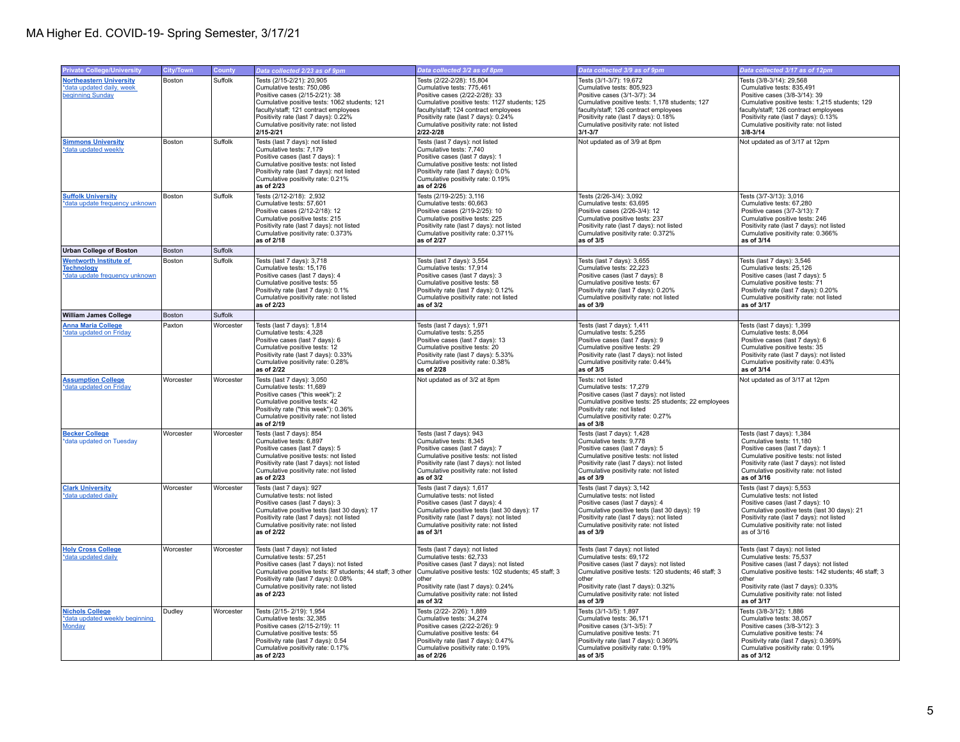| <b>Private College/University</b>                                                    | City/Town | County    | Data collected 2/23 as of 9pm                                                                                                                                                                                                                                                     | Data collected 3/2 as of 8pm                                                                                                                                                                                                                                                      | Data collected 3/9 as of 9pm                                                                                                                                                                                                                                                     | Data collected 3/17 as of 12pm                                                                                                                                                                                                                                                      |
|--------------------------------------------------------------------------------------|-----------|-----------|-----------------------------------------------------------------------------------------------------------------------------------------------------------------------------------------------------------------------------------------------------------------------------------|-----------------------------------------------------------------------------------------------------------------------------------------------------------------------------------------------------------------------------------------------------------------------------------|----------------------------------------------------------------------------------------------------------------------------------------------------------------------------------------------------------------------------------------------------------------------------------|-------------------------------------------------------------------------------------------------------------------------------------------------------------------------------------------------------------------------------------------------------------------------------------|
| <b>Northeastern University</b><br>*data updated daily, week<br>beginning Sunday      | Boston    | Suffolk   | Tests (2/15-2/21): 20,905<br>Cumulative tests: 750,086<br>Positive cases (2/15-2/21): 38<br>Cumulative positive tests: 1062 students; 121<br>faculty/staff; 121 contract employees<br>Positivity rate (last 7 days): 0.22%<br>Cumulative positivity rate: not listed<br>2/15-2/21 | Tests (2/22-2/28): 15,804<br>Cumulative tests: 775,461<br>Positive cases (2/22-2/28): 33<br>Cumulative positive tests: 1127 students: 125<br>faculty/staff; 124 contract employees<br>Positivity rate (last 7 days): 0.24%<br>Cumulative positivity rate: not listed<br>2/22-2/28 | Tests (3/1-3/7): 19,672<br>Cumulative tests: 805,923<br>Positive cases (3/1-3/7): 34<br>Cumulative positive tests: 1.178 students: 127<br>faculty/staff; 126 contract employees<br>Positivity rate (last 7 days): 0.18%<br>Cumulative positivity rate: not listed<br>$3/1 - 3/7$ | Tests (3/8-3/14): 29,568<br>Cumulative tests: 835,491<br>Positive cases (3/8-3/14): 39<br>Cumulative positive tests: 1,215 students; 129<br>faculty/staff; 126 contract employees<br>Positivity rate (last 7 days): 0.13%<br>Cumulative positivity rate: not listed<br>$3/8 - 3/14$ |
| <b>Simmons University</b><br>*data updated weekly                                    | Boston    | Suffolk   | Tests (last 7 days): not listed<br>Cumulative tests: 7,179<br>Positive cases (last 7 days): 1<br>Cumulative positive tests: not listed<br>Positivity rate (last 7 days): not listed<br>Cumulative positivity rate: 0.21%<br>as of 2/23                                            | Tests (last 7 days): not listed<br>Cumulative tests: 7,740<br>Positive cases (last 7 days): 1<br>Cumulative positive tests: not listed<br>Positivity rate (last 7 days): 0.0%<br>Cumulative positivity rate: 0.19%<br>as of 2/26                                                  | Not updated as of 3/9 at 8pm                                                                                                                                                                                                                                                     | Not updated as of 3/17 at 12pm                                                                                                                                                                                                                                                      |
| <b>Suffolk University</b><br>*data update frequency unknown                          | Boston    | Suffolk   | Tests (2/12-2/18): 2,932<br>Cumulative tests: 57,601<br>Positive cases (2/12-2/18): 12<br>Cumulative positive tests: 215<br>Positivity rate (last 7 days): not listed<br>Cumulative positivity rate: 0.373%<br>as of 2/18                                                         | Tests (2/19-2/25): 3,116<br>Cumulative tests: 60,663<br>Positive cases (2/19-2/25): 10<br>Cumulative positive tests: 225<br>Positivity rate (last 7 days): not listed<br>Cumulative positivity rate: 0.371%<br>as of 2/27                                                         | Tests (2/26-3/4): 3,092<br>Cumulative tests: 63,695<br>Positive cases (2/26-3/4): 12<br>Cumulative positive tests: 237<br>Positivity rate (last 7 days): not listed<br>Cumulative positivity rate: 0.372%<br>as of 3/5                                                           | Tests (3/7-3/13): 3,016<br>Cumulative tests: 67,280<br>Positive cases (3/7-3/13): 7<br>Cumulative positive tests: 246<br>Positivity rate (last 7 days): not listed<br>Cumulative positivity rate: 0.366%<br>as of 3/14                                                              |
| <b>Urban College of Boston</b>                                                       | Boston    | Suffolk   |                                                                                                                                                                                                                                                                                   |                                                                                                                                                                                                                                                                                   |                                                                                                                                                                                                                                                                                  |                                                                                                                                                                                                                                                                                     |
| <b>Wentworth Institute of</b><br><b>Technology</b><br>*data update frequency unknown | Boston    | Suffolk   | Tests (last 7 days): 3,718<br>Cumulative tests: 15,176<br>Positive cases (last 7 days): 4<br>Cumulative positive tests: 55<br>Positivity rate (last 7 days): 0.1%<br>Cumulative positivity rate: not listed<br>as of 2/23                                                         | Tests (last 7 days): 3,554<br>Cumulative tests: 17,914<br>Positive cases (last 7 days): 3<br>Cumulative positive tests: 58<br>Positivity rate (last 7 days): 0.12%<br>Cumulative positivity rate: not listed<br>as of 3/2                                                         | Tests (last 7 days): 3,655<br>Cumulative tests: 22,223<br>Positive cases (last 7 days): 8<br>Cumulative positive tests: 67<br>Positivity rate (last 7 days): 0.20%<br>Cumulative positivity rate: not listed<br>as of 3/9                                                        | Tests (last 7 days): 3,546<br>Cumulative tests: 25,126<br>Positive cases (last 7 days): 5<br>Cumulative positive tests: 71<br>Positivity rate (last 7 days): 0.20%<br>Cumulative positivity rate: not listed<br>as of 3/17                                                          |
| William James College                                                                | Boston    | Suffolk   |                                                                                                                                                                                                                                                                                   |                                                                                                                                                                                                                                                                                   |                                                                                                                                                                                                                                                                                  |                                                                                                                                                                                                                                                                                     |
| <b>Anna Maria College</b><br>*data updated on Friday                                 | Paxton    | Worcester | Tests (last 7 days): 1,814<br>Cumulative tests: 4.328<br>Positive cases (last 7 days): 6<br>Cumulative positive tests: 12<br>Positivity rate (last 7 days): 0.33%<br>Cumulative positivity rate: 0.28%<br>as of 2/22                                                              | Tests (last 7 days): 1,971<br>Cumulative tests: 5.255<br>Positive cases (last 7 days): 13<br>Cumulative positive tests: 20<br>Positivity rate (last 7 days): 5.33%<br>Cumulative positivity rate: 0.38%<br>as of 2/28                                                             | Tests (last 7 days): 1,411<br>Cumulative tests: 5.255<br>Positive cases (last 7 days): 9<br>Cumulative positive tests: 29<br>Positivity rate (last 7 days): not listed<br>Cumulative positivity rate: 0.44%<br>as of 3/5                                                         | Tests (last 7 days): 1,399<br>Cumulative tests: 8.064<br>Positive cases (last 7 days): 6<br>Cumulative positive tests: 35<br>Positivity rate (last 7 days): not listed<br>Cumulative positivity rate: 0.43%<br>as of 3/14                                                           |
| <b>Assumption College</b><br>*data updated on Friday                                 | Worcester | Worcester | Tests (last 7 days): 3,050<br>Cumulative tests: 11,689<br>Positive cases ("this week"): 2<br>Cumulative positive tests: 42<br>Positivity rate ("this week"): 0.36%<br>Cumulative positivity rate: not listed<br>as of 2/19                                                        | Not updated as of 3/2 at 8pm                                                                                                                                                                                                                                                      | Tests: not listed<br>Cumulative tests: 17.279<br>Positive cases (last 7 days): not listed<br>Cumulative positive tests: 25 students; 22 employees<br>Positivity rate: not listed<br>Cumulative positivity rate: 0.27%<br>as of 3/8                                               | Not updated as of 3/17 at 12pm                                                                                                                                                                                                                                                      |
| <b>Becker College</b><br>*data updated on Tuesday                                    | Worcester | Worcester | Tests (last 7 days): 854<br>Cumulative tests: 6,897<br>Positive cases (last 7 days): 5<br>Cumulative positive tests: not listed<br>Positivity rate (last 7 days): not listed<br>Cumulative positivity rate: not listed<br>as of 2/23                                              | Tests (last 7 days): 943<br>Cumulative tests: 8,345<br>Positive cases (last 7 days): 7<br>Cumulative positive tests: not listed<br>Positivity rate (last 7 days): not listed<br>Cumulative positivity rate: not listed<br>as of 3/2                                               | Tests (last 7 days): 1,428<br>Cumulative tests: 9,778<br>Positive cases (last 7 days): 5<br>Cumulative positive tests: not listed<br>Positivity rate (last 7 days): not listed<br>Cumulative positivity rate: not listed<br>as of 3/9                                            | Tests (last 7 days): 1,384<br>Cumulative tests: 11,180<br>Positive cases (last 7 days): 1<br>Cumulative positive tests: not listed<br>Positivity rate (last 7 days): not listed<br>Cumulative positivity rate: not listed<br>as of 3/16                                             |
| <b>Clark University</b><br>*data updated daily                                       | Worcester | Worcester | Tests (last 7 days): 927<br>Cumulative tests: not listed<br>Positive cases (last 7 days): 3<br>Cumulative positive tests (last 30 days): 17<br>Positivity rate (last 7 days): not listed<br>Cumulative positivity rate: not listed<br>as of 2/22                                  | Tests (last 7 days): 1,617<br>Cumulative tests: not listed<br>Positive cases (last 7 days): 4<br>Cumulative positive tests (last 30 days): 17<br>Positivity rate (last 7 days): not listed<br>Cumulative positivity rate: not listed<br>as of 3/1                                 | Tests (last 7 days): 3,142<br>Cumulative tests: not listed<br>Positive cases (last 7 days): 4<br>Cumulative positive tests (last 30 days): 19<br>Positivity rate (last 7 days): not listed<br>Cumulative positivity rate: not listed<br>as of $3/9$                              | Tests (last 7 days): 5,553<br>Cumulative tests: not listed<br>Positive cases (last 7 days): 10<br>Cumulative positive tests (last 30 days): 21<br>Positivity rate (last 7 days): not listed<br>Cumulative positivity rate: not listed<br>as of 3/16                                 |
| <b>Holy Cross College</b><br>*data updated daily                                     | Worcester | Worcester | Tests (last 7 days): not listed<br>Cumulative tests: 57,251<br>Positive cases (last 7 days): not listed<br>Cumulative positive tests: 87 students; 44 staff; 3 other<br>Positivity rate (last 7 days): 0.08%<br>Cumulative positivity rate: not listed<br>as of 2/23              | Tests (last 7 days): not listed<br>Cumulative tests: 62,733<br>Positive cases (last 7 days): not listed<br>Cumulative positive tests: 102 students; 45 staff; 3<br>other<br>Positivity rate (last 7 days): 0.24%<br>Cumulative positivity rate: not listed<br>as of 3/2           | Tests (last 7 days): not listed<br>Cumulative tests: 69,172<br>Positive cases (last 7 days): not listed<br>Cumulative positive tests: 120 students; 46 staff; 3<br>other<br>Positivity rate (last 7 days): 0.32%<br>Cumulative positivity rate: not listed<br>as of 3/9          | Tests (last 7 days): not listed<br>Cumulative tests: 75,537<br>Positive cases (last 7 days): not listed<br>Cumulative positive tests: 142 students; 46 staff; 3<br>other<br>Positivity rate (last 7 days): 0.33%<br>Cumulative positivity rate: not listed<br>as of 3/17            |
| <b>Nichols College</b><br>*data updated weekly beginning<br>Monday                   | Dudley    | Worcester | Tests (2/15-2/19): 1,954<br>Cumulative tests: 32.385<br>Positive cases (2/15-2/19): 11<br>Cumulative positive tests: 55<br>Positivity rate (last 7 days): 0.54<br>Cumulative positivity rate: 0.17%<br>as of 2/23                                                                 | Tests (2/22-2/26): 1,889<br>Cumulative tests: 34,274<br>Positive cases (2/22-2/26): 9<br>Cumulative positive tests: 64<br>Positivity rate (last 7 days): 0.47%<br>Cumulative positivity rate: 0.19%<br>as of 2/26                                                                 | Tests (3/1-3/5): 1,897<br>Cumulative tests: 36,171<br>Positive cases (3/1-3/5): 7<br>Cumulative positive tests: 71<br>Positivity rate (last 7 days): 0.369%<br>Cumulative positivity rate: 0.19%<br>as of 3/5                                                                    | Tests (3/8-3/12): 1,886<br>Cumulative tests: 38.057<br>Positive cases (3/8-3/12): 3<br>Cumulative positive tests: 74<br>Positivity rate (last 7 days): 0.369%<br>Cumulative positivity rate: 0.19%<br>as of 3/12                                                                    |